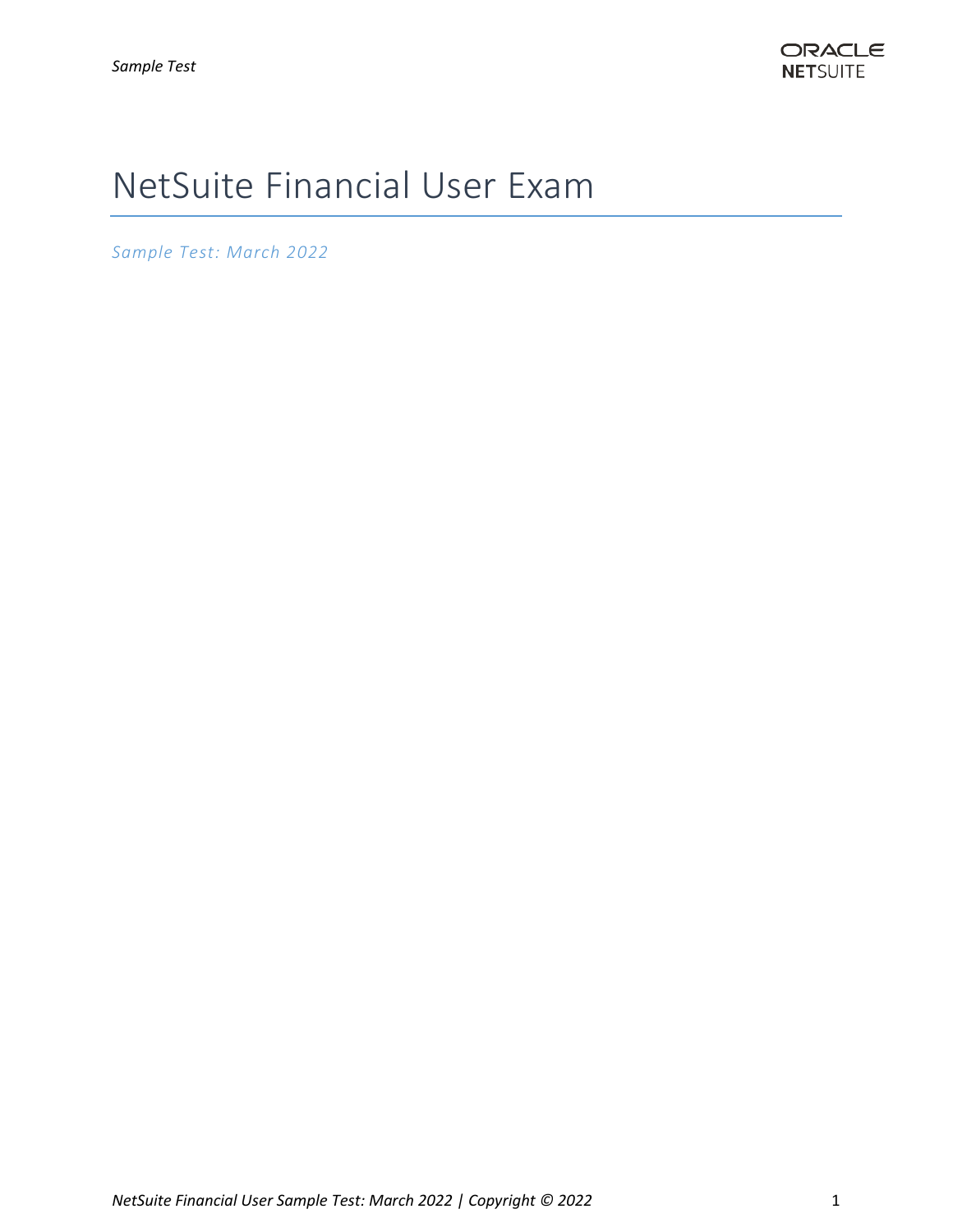# NetSuite Financial User Exam

*Sample Test: March 2022*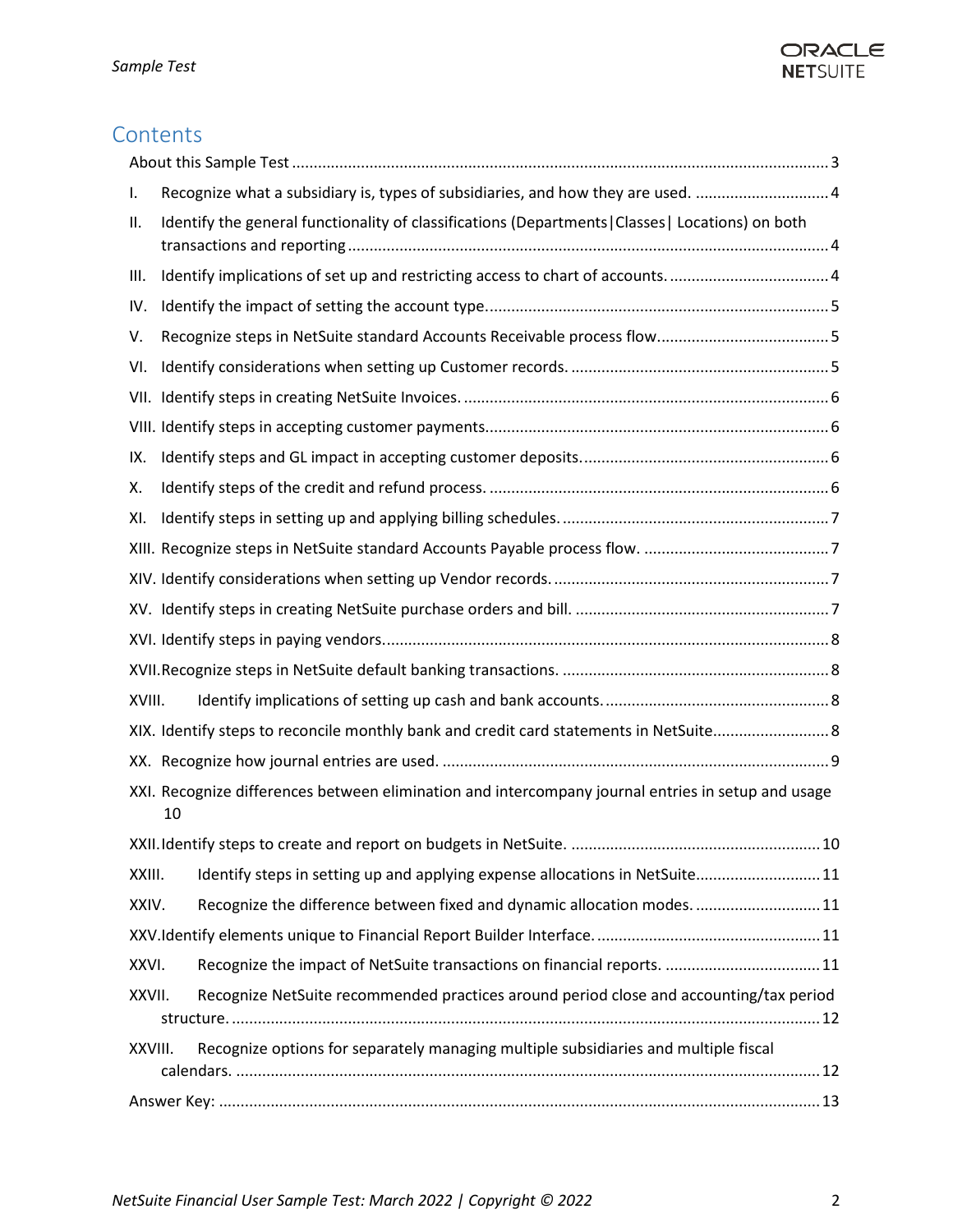# ORACLE **NETSUITE**

# **Contents**

| I.                                                                                                       | Recognize what a subsidiary is, types of subsidiaries, and how they are used.                     |  |  |  |  |  |  |
|----------------------------------------------------------------------------------------------------------|---------------------------------------------------------------------------------------------------|--|--|--|--|--|--|
| ΙΙ.                                                                                                      | Identify the general functionality of classifications (Departments   Classes   Locations) on both |  |  |  |  |  |  |
| III.                                                                                                     | Identify implications of set up and restricting access to chart of accounts4                      |  |  |  |  |  |  |
| IV.                                                                                                      |                                                                                                   |  |  |  |  |  |  |
| V.                                                                                                       |                                                                                                   |  |  |  |  |  |  |
| VI.                                                                                                      |                                                                                                   |  |  |  |  |  |  |
|                                                                                                          |                                                                                                   |  |  |  |  |  |  |
|                                                                                                          |                                                                                                   |  |  |  |  |  |  |
| IX.                                                                                                      |                                                                                                   |  |  |  |  |  |  |
| х.                                                                                                       |                                                                                                   |  |  |  |  |  |  |
| XI.                                                                                                      |                                                                                                   |  |  |  |  |  |  |
|                                                                                                          |                                                                                                   |  |  |  |  |  |  |
|                                                                                                          |                                                                                                   |  |  |  |  |  |  |
|                                                                                                          |                                                                                                   |  |  |  |  |  |  |
|                                                                                                          |                                                                                                   |  |  |  |  |  |  |
|                                                                                                          |                                                                                                   |  |  |  |  |  |  |
| XVIII.                                                                                                   |                                                                                                   |  |  |  |  |  |  |
|                                                                                                          | XIX. Identify steps to reconcile monthly bank and credit card statements in NetSuite 8            |  |  |  |  |  |  |
|                                                                                                          |                                                                                                   |  |  |  |  |  |  |
| XXI. Recognize differences between elimination and intercompany journal entries in setup and usage<br>10 |                                                                                                   |  |  |  |  |  |  |
|                                                                                                          |                                                                                                   |  |  |  |  |  |  |
| XXIII.                                                                                                   | Identify steps in setting up and applying expense allocations in NetSuite11                       |  |  |  |  |  |  |
| XXIV.                                                                                                    | Recognize the difference between fixed and dynamic allocation modes 11                            |  |  |  |  |  |  |
|                                                                                                          |                                                                                                   |  |  |  |  |  |  |
| XXVI.                                                                                                    | Recognize the impact of NetSuite transactions on financial reports.  11                           |  |  |  |  |  |  |
| XXVII.                                                                                                   | Recognize NetSuite recommended practices around period close and accounting/tax period            |  |  |  |  |  |  |
| XXVIII.                                                                                                  | Recognize options for separately managing multiple subsidiaries and multiple fiscal               |  |  |  |  |  |  |
|                                                                                                          |                                                                                                   |  |  |  |  |  |  |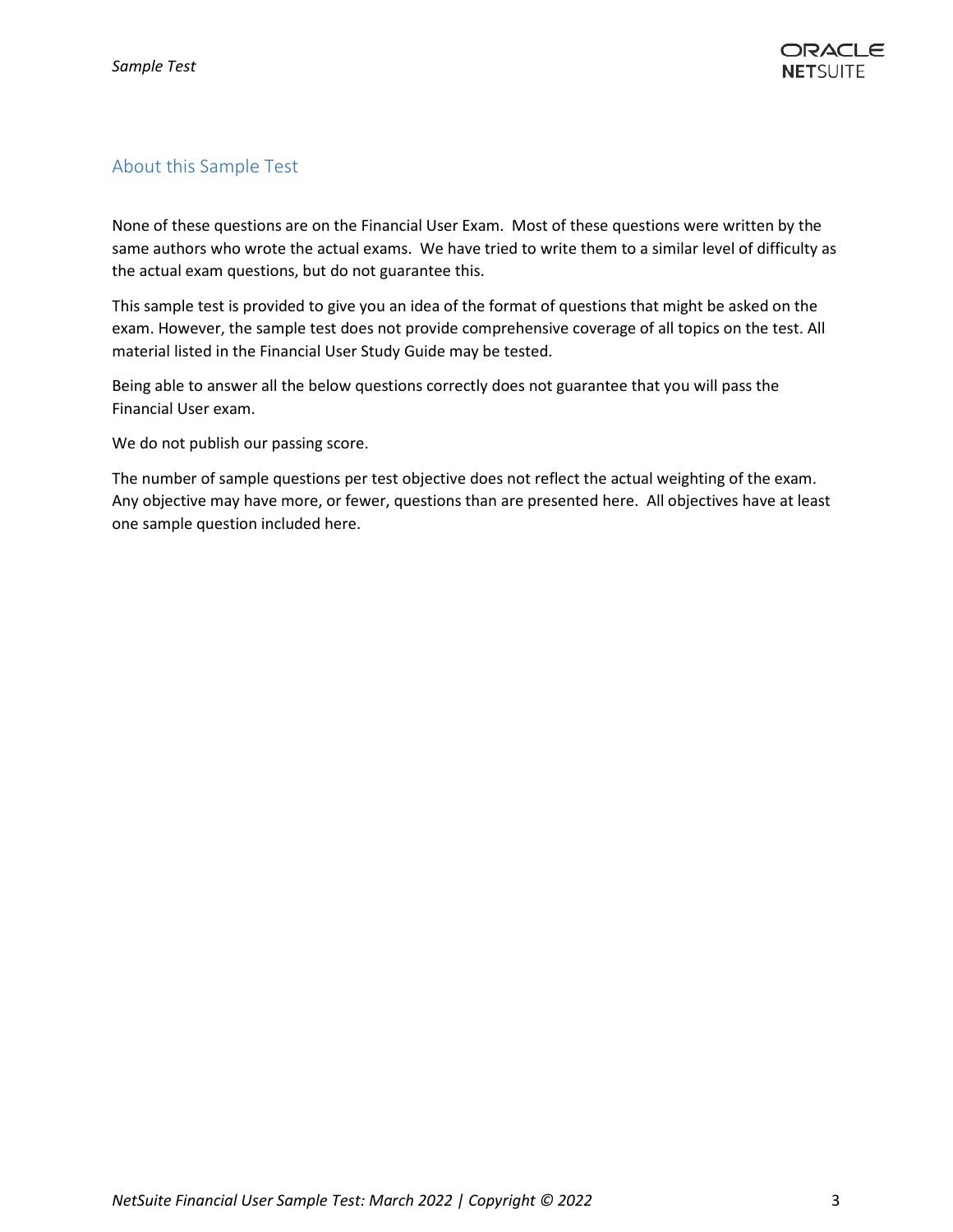# <span id="page-2-0"></span>About this Sample Test

None of these questions are on the Financial User Exam. Most of these questions were written by the same authors who wrote the actual exams. We have tried to write them to a similar level of difficulty as the actual exam questions, but do not guarantee this.

This sample test is provided to give you an idea of the format of questions that might be asked on the exam. However, the sample test does not provide comprehensive coverage of all topics on the test. All material listed in the Financial User Study Guide may be tested.

Being able to answer all the below questions correctly does not guarantee that you will pass the Financial User exam.

We do not publish our passing score.

The number of sample questions per test objective does not reflect the actual weighting of the exam. Any objective may have more, or fewer, questions than are presented here. All objectives have at least one sample question included here.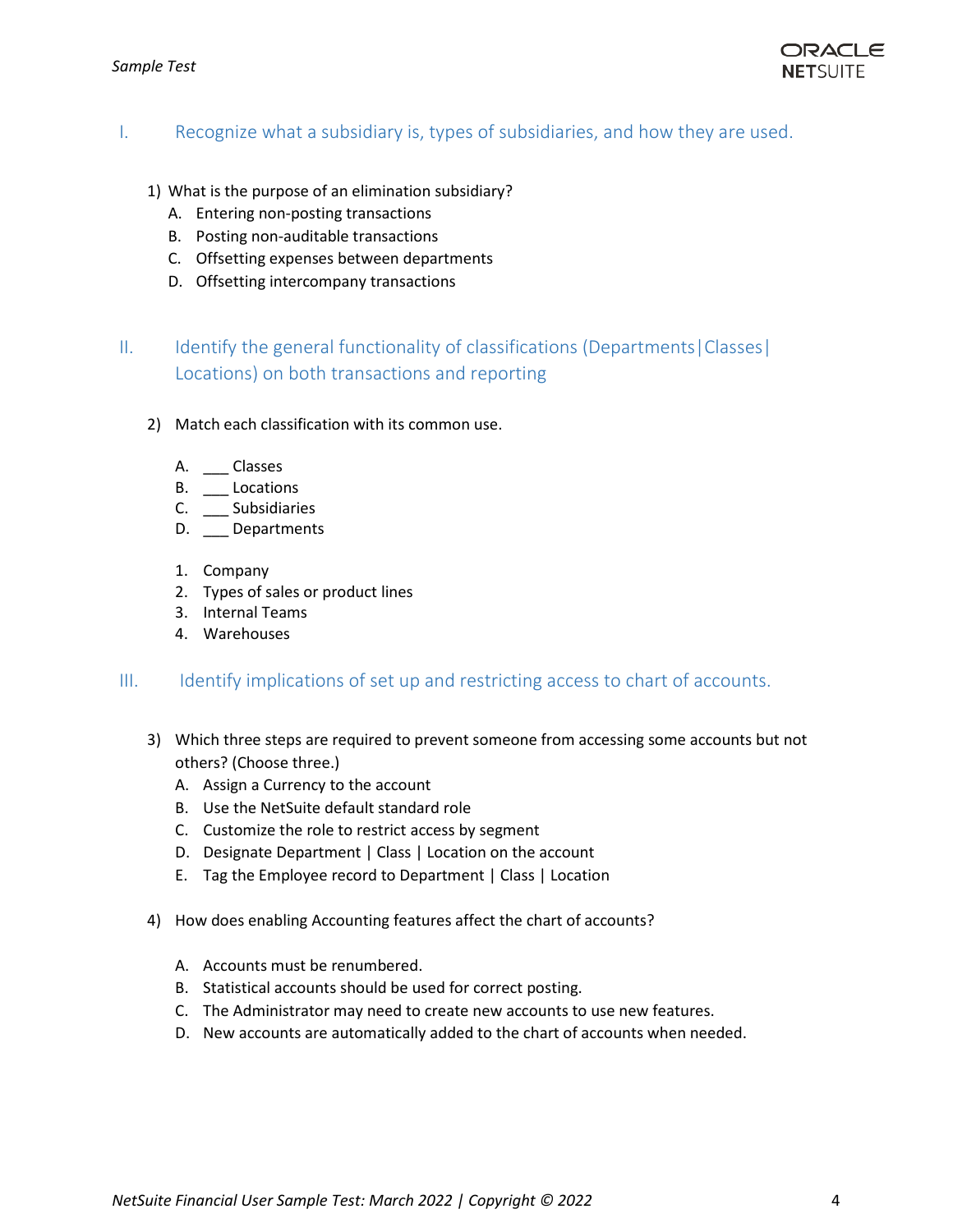

#### <span id="page-3-0"></span>I. Recognize what a subsidiary is, types of subsidiaries, and how they are used.

- 1) What is the purpose of an elimination subsidiary?
	- A. Entering non-posting transactions
	- B. Posting non-auditable transactions
	- C. Offsetting expenses between departments
	- D. Offsetting intercompany transactions

# <span id="page-3-1"></span>II. Identify the general functionality of classifications (Departments | Classes | Locations) on both transactions and reporting

- 2) Match each classification with its common use.
	- A. \_\_\_ Classes
	- B. \_\_\_\_ Locations
	- C. \_\_\_ Subsidiaries
	- D. \_\_ Departments
	- 1. Company
	- 2. Types of sales or product lines
	- 3. Internal Teams
	- 4. Warehouses

#### <span id="page-3-2"></span>III. Identify implications of set up and restricting access to chart of accounts.

- 3) Which three steps are required to prevent someone from accessing some accounts but not others? (Choose three.)
	- A. Assign a Currency to the account
	- B. Use the NetSuite default standard role
	- C. Customize the role to restrict access by segment
	- D. Designate Department | Class | Location on the account
	- E. Tag the Employee record to Department | Class | Location
- 4) How does enabling Accounting features affect the chart of accounts?
	- A. Accounts must be renumbered.
	- B. Statistical accounts should be used for correct posting.
	- C. The Administrator may need to create new accounts to use new features.
	- D. New accounts are automatically added to the chart of accounts when needed.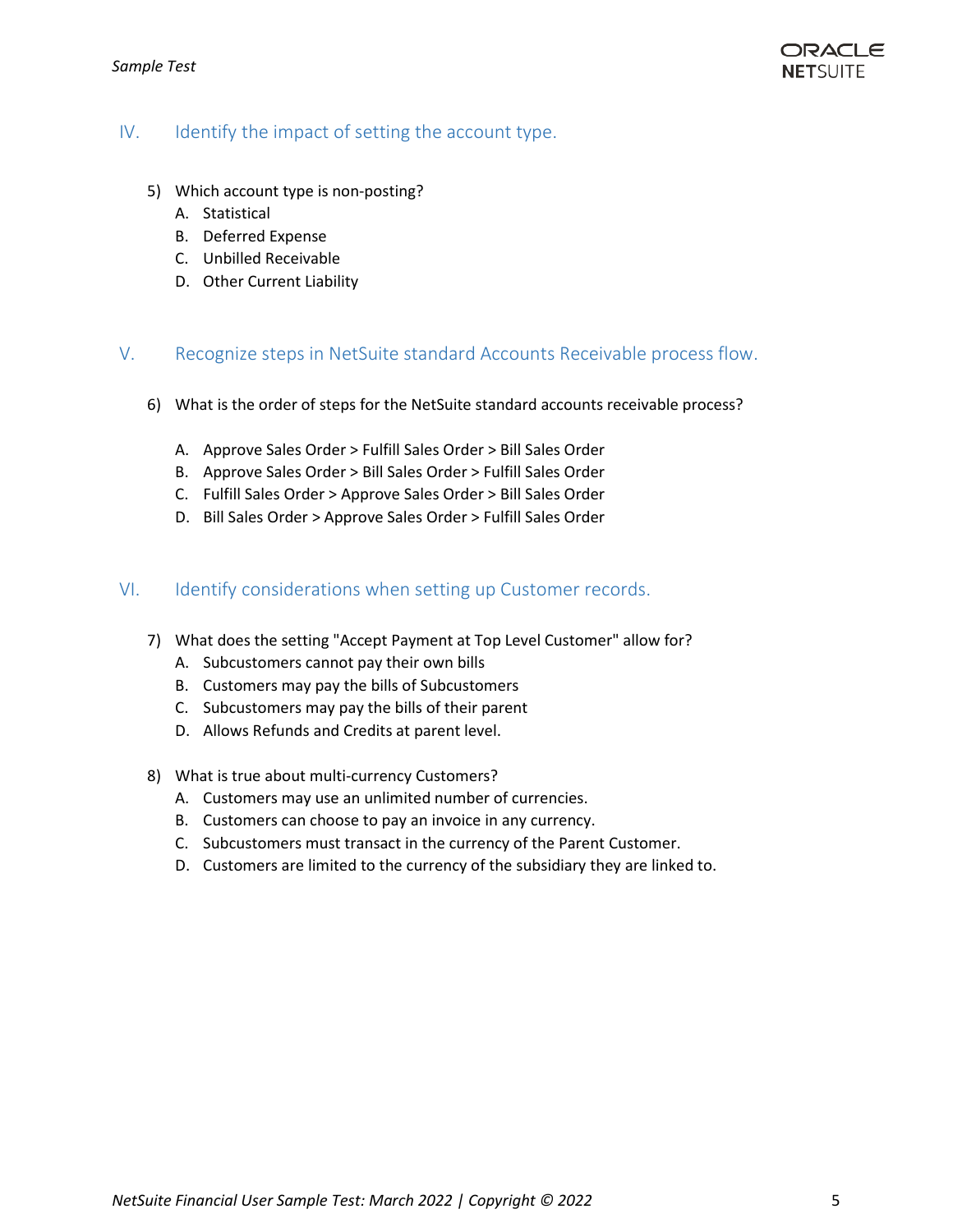## <span id="page-4-0"></span>IV. Identify the impact of setting the account type.

- 5) Which account type is non-posting?
	- A. Statistical
	- B. Deferred Expense
	- C. Unbilled Receivable
	- D. Other Current Liability

#### <span id="page-4-1"></span>V. Recognize steps in NetSuite standard Accounts Receivable process flow.

- 6) What is the order of steps for the NetSuite standard accounts receivable process?
	- A. Approve Sales Order > Fulfill Sales Order > Bill Sales Order
	- B. Approve Sales Order > Bill Sales Order > Fulfill Sales Order
	- C. Fulfill Sales Order > Approve Sales Order > Bill Sales Order
	- D. Bill Sales Order > Approve Sales Order > Fulfill Sales Order

#### <span id="page-4-2"></span>VI. Identify considerations when setting up Customer records.

- 7) What does the setting "Accept Payment at Top Level Customer" allow for?
	- A. Subcustomers cannot pay their own bills
	- B. Customers may pay the bills of Subcustomers
	- C. Subcustomers may pay the bills of their parent
	- D. Allows Refunds and Credits at parent level.
- 8) What is true about multi-currency Customers?
	- A. Customers may use an unlimited number of currencies.
	- B. Customers can choose to pay an invoice in any currency.
	- C. Subcustomers must transact in the currency of the Parent Customer.
	- D. Customers are limited to the currency of the subsidiary they are linked to.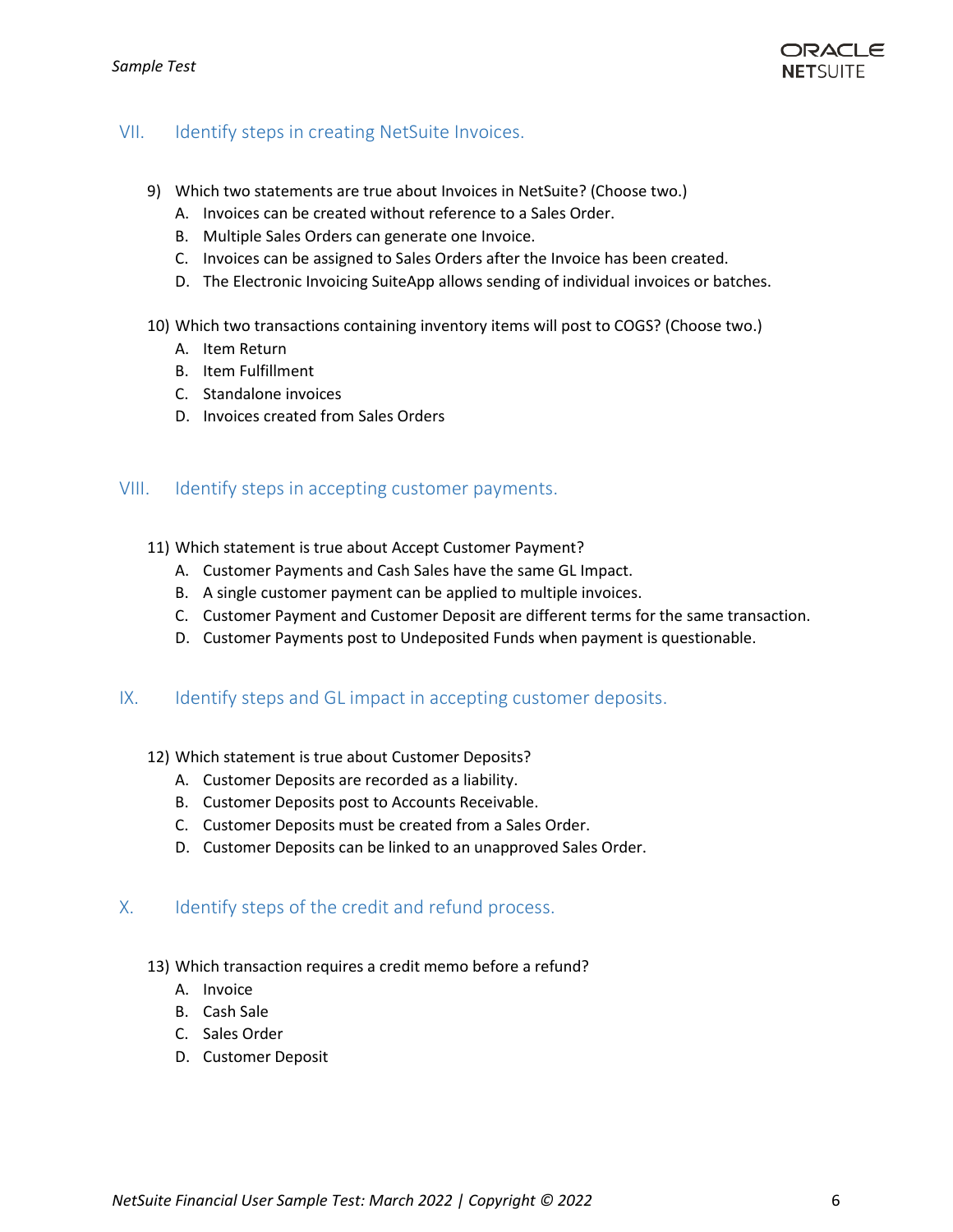

#### <span id="page-5-0"></span>VII. Identify steps in creating NetSuite Invoices.

- 9) Which two statements are true about Invoices in NetSuite? (Choose two.)
	- A. Invoices can be created without reference to a Sales Order.
	- B. Multiple Sales Orders can generate one Invoice.
	- C. Invoices can be assigned to Sales Orders after the Invoice has been created.
	- D. The Electronic Invoicing SuiteApp allows sending of individual invoices or batches.
- 10) Which two transactions containing inventory items will post to COGS? (Choose two.)
	- A. Item Return
	- B. Item Fulfillment
	- C. Standalone invoices
	- D. Invoices created from Sales Orders

#### <span id="page-5-1"></span>VIII. Identify steps in accepting customer payments.

- 11) Which statement is true about Accept Customer Payment?
	- A. Customer Payments and Cash Sales have the same GL Impact.
	- B. A single customer payment can be applied to multiple invoices.
	- C. Customer Payment and Customer Deposit are different terms for the same transaction.
	- D. Customer Payments post to Undeposited Funds when payment is questionable.

#### <span id="page-5-2"></span>IX. Identify steps and GL impact in accepting customer deposits.

- 12) Which statement is true about Customer Deposits?
	- A. Customer Deposits are recorded as a liability.
	- B. Customer Deposits post to Accounts Receivable.
	- C. Customer Deposits must be created from a Sales Order.
	- D. Customer Deposits can be linked to an unapproved Sales Order.

#### <span id="page-5-3"></span>X. Identify steps of the credit and refund process.

- 13) Which transaction requires a credit memo before a refund?
	- A. Invoice
	- B. Cash Sale
	- C. Sales Order
	- D. Customer Deposit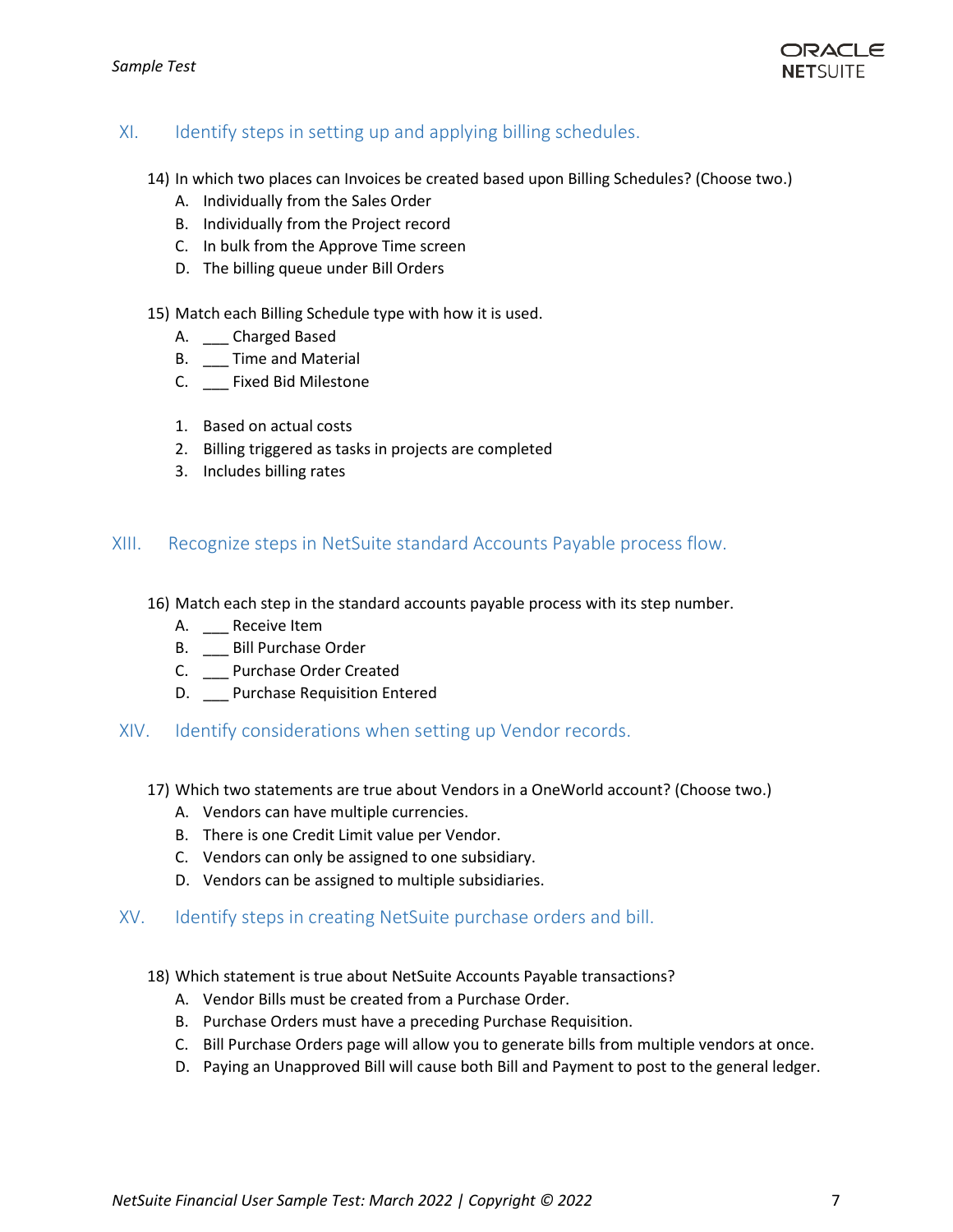

# <span id="page-6-0"></span>XI. Identify steps in setting up and applying billing schedules.

- 14) In which two places can Invoices be created based upon Billing Schedules? (Choose two.)
	- A. Individually from the Sales Order
	- B. Individually from the Project record
	- C. In bulk from the Approve Time screen
	- D. The billing queue under Bill Orders
- 15) Match each Billing Schedule type with how it is used.
	- A. \_\_\_ Charged Based
	- B. \_\_ Time and Material
	- C. \_\_\_ Fixed Bid Milestone
	- 1. Based on actual costs
	- 2. Billing triggered as tasks in projects are completed
	- 3. Includes billing rates

#### <span id="page-6-1"></span>XIII. Recognize steps in NetSuite standard Accounts Payable process flow.

- 16) Match each step in the standard accounts payable process with its step number.
	- A. Receive Item
	- B. \_\_\_ Bill Purchase Order
	- C. \_\_\_ Purchase Order Created
	- D. \_\_ Purchase Requisition Entered
- <span id="page-6-2"></span>XIV. Identify considerations when setting up Vendor records.
	- 17) Which two statements are true about Vendors in a OneWorld account? (Choose two.)
		- A. Vendors can have multiple currencies.
		- B. There is one Credit Limit value per Vendor.
		- C. Vendors can only be assigned to one subsidiary.
		- D. Vendors can be assigned to multiple subsidiaries.

#### <span id="page-6-3"></span>XV. Identify steps in creating NetSuite purchase orders and bill.

- 18) Which statement is true about NetSuite Accounts Payable transactions?
	- A. Vendor Bills must be created from a Purchase Order.
	- B. Purchase Orders must have a preceding Purchase Requisition.
	- C. Bill Purchase Orders page will allow you to generate bills from multiple vendors at once.
	- D. Paying an Unapproved Bill will cause both Bill and Payment to post to the general ledger.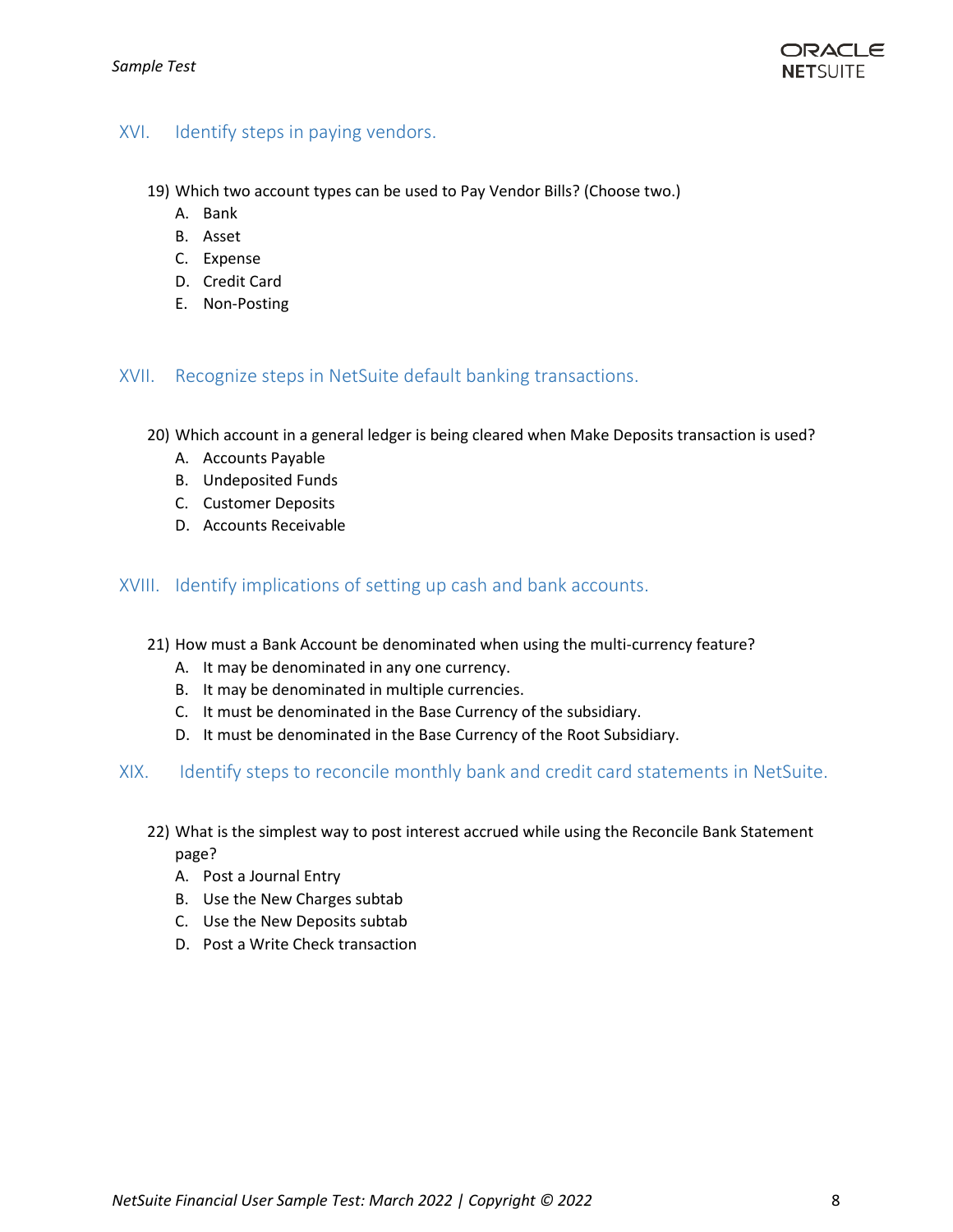## <span id="page-7-0"></span>XVI. Identify steps in paying vendors.

- 19) Which two account types can be used to Pay Vendor Bills? (Choose two.)
	- A. Bank
	- B. Asset
	- C. Expense
	- D. Credit Card
	- E. Non-Posting

#### <span id="page-7-1"></span>XVII. Recognize steps in NetSuite default banking transactions.

- 20) Which account in a general ledger is being cleared when Make Deposits transaction is used?
	- A. Accounts Payable
	- B. Undeposited Funds
	- C. Customer Deposits
	- D. Accounts Receivable

#### <span id="page-7-2"></span>XVIII. Identify implications of setting up cash and bank accounts.

- 21) How must a Bank Account be denominated when using the multi-currency feature?
	- A. It may be denominated in any one currency.
	- B. It may be denominated in multiple currencies.
	- C. It must be denominated in the Base Currency of the subsidiary.
	- D. It must be denominated in the Base Currency of the Root Subsidiary.
- <span id="page-7-3"></span>XIX. Identify steps to reconcile monthly bank and credit card statements in NetSuite.
	- 22) What is the simplest way to post interest accrued while using the Reconcile Bank Statement page?
		- A. Post a Journal Entry
		- B. Use the New Charges subtab
		- C. Use the New Deposits subtab
		- D. Post a Write Check transaction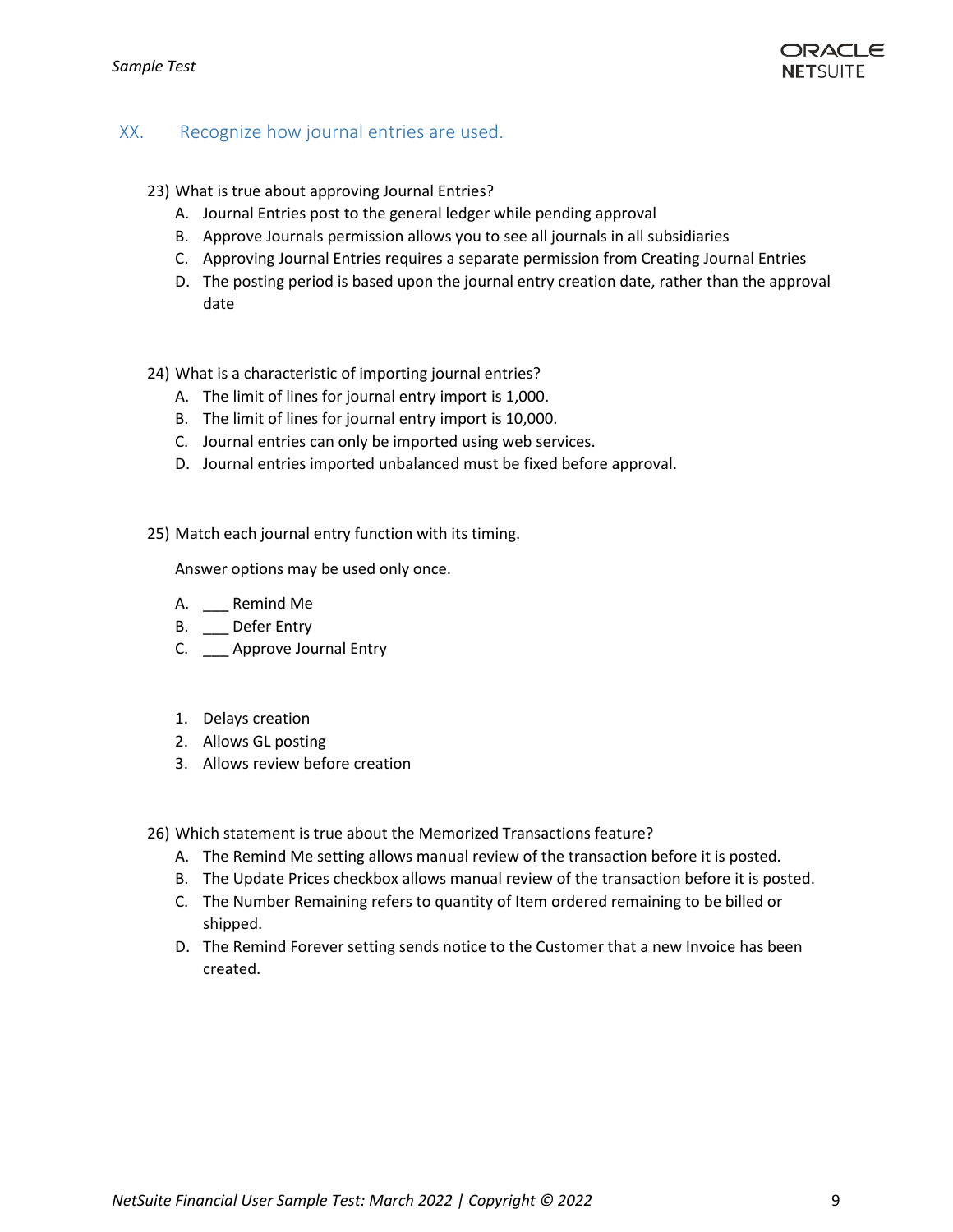

## <span id="page-8-0"></span>XX. Recognize how journal entries are used.

- 23) What is true about approving Journal Entries?
	- A. Journal Entries post to the general ledger while pending approval
	- B. Approve Journals permission allows you to see all journals in all subsidiaries
	- C. Approving Journal Entries requires a separate permission from Creating Journal Entries
	- D. The posting period is based upon the journal entry creation date, rather than the approval date
- 24) What is a characteristic of importing journal entries?
	- A. The limit of lines for journal entry import is 1,000.
	- B. The limit of lines for journal entry import is 10,000.
	- C. Journal entries can only be imported using web services.
	- D. Journal entries imported unbalanced must be fixed before approval.
- 25) Match each journal entry function with its timing.

Answer options may be used only once.

- A. \_\_\_ Remind Me
- B. \_\_ Defer Entry
- C. \_\_\_ Approve Journal Entry
- 1. Delays creation
- 2. Allows GL posting
- 3. Allows review before creation

26) Which statement is true about the Memorized Transactions feature?

- A. The Remind Me setting allows manual review of the transaction before it is posted.
- B. The Update Prices checkbox allows manual review of the transaction before it is posted.
- C. The Number Remaining refers to quantity of Item ordered remaining to be billed or shipped.
- D. The Remind Forever setting sends notice to the Customer that a new Invoice has been created.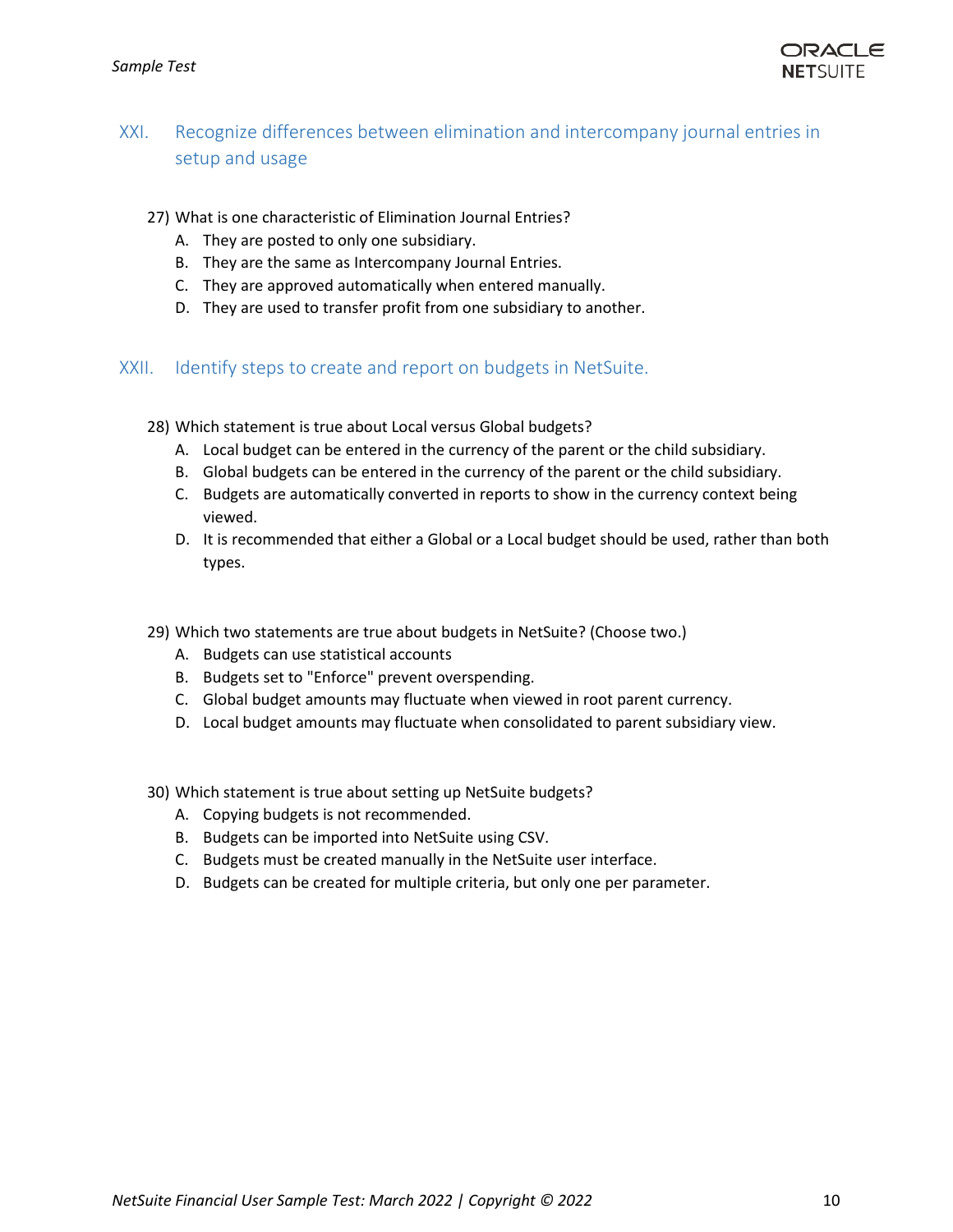

# <span id="page-9-0"></span>XXI. Recognize differences between elimination and intercompany journal entries in setup and usage

- 27) What is one characteristic of Elimination Journal Entries?
	- A. They are posted to only one subsidiary.
	- B. They are the same as Intercompany Journal Entries.
	- C. They are approved automatically when entered manually.
	- D. They are used to transfer profit from one subsidiary to another.

#### <span id="page-9-1"></span>XXII. Identify steps to create and report on budgets in NetSuite.

- 28) Which statement is true about Local versus Global budgets?
	- A. Local budget can be entered in the currency of the parent or the child subsidiary.
	- B. Global budgets can be entered in the currency of the parent or the child subsidiary.
	- C. Budgets are automatically converted in reports to show in the currency context being viewed.
	- D. It is recommended that either a Global or a Local budget should be used, rather than both types.
- 29) Which two statements are true about budgets in NetSuite? (Choose two.)
	- A. Budgets can use statistical accounts
	- B. Budgets set to "Enforce" prevent overspending.
	- C. Global budget amounts may fluctuate when viewed in root parent currency.
	- D. Local budget amounts may fluctuate when consolidated to parent subsidiary view.
- 30) Which statement is true about setting up NetSuite budgets?
	- A. Copying budgets is not recommended.
	- B. Budgets can be imported into NetSuite using CSV.
	- C. Budgets must be created manually in the NetSuite user interface.
	- D. Budgets can be created for multiple criteria, but only one per parameter.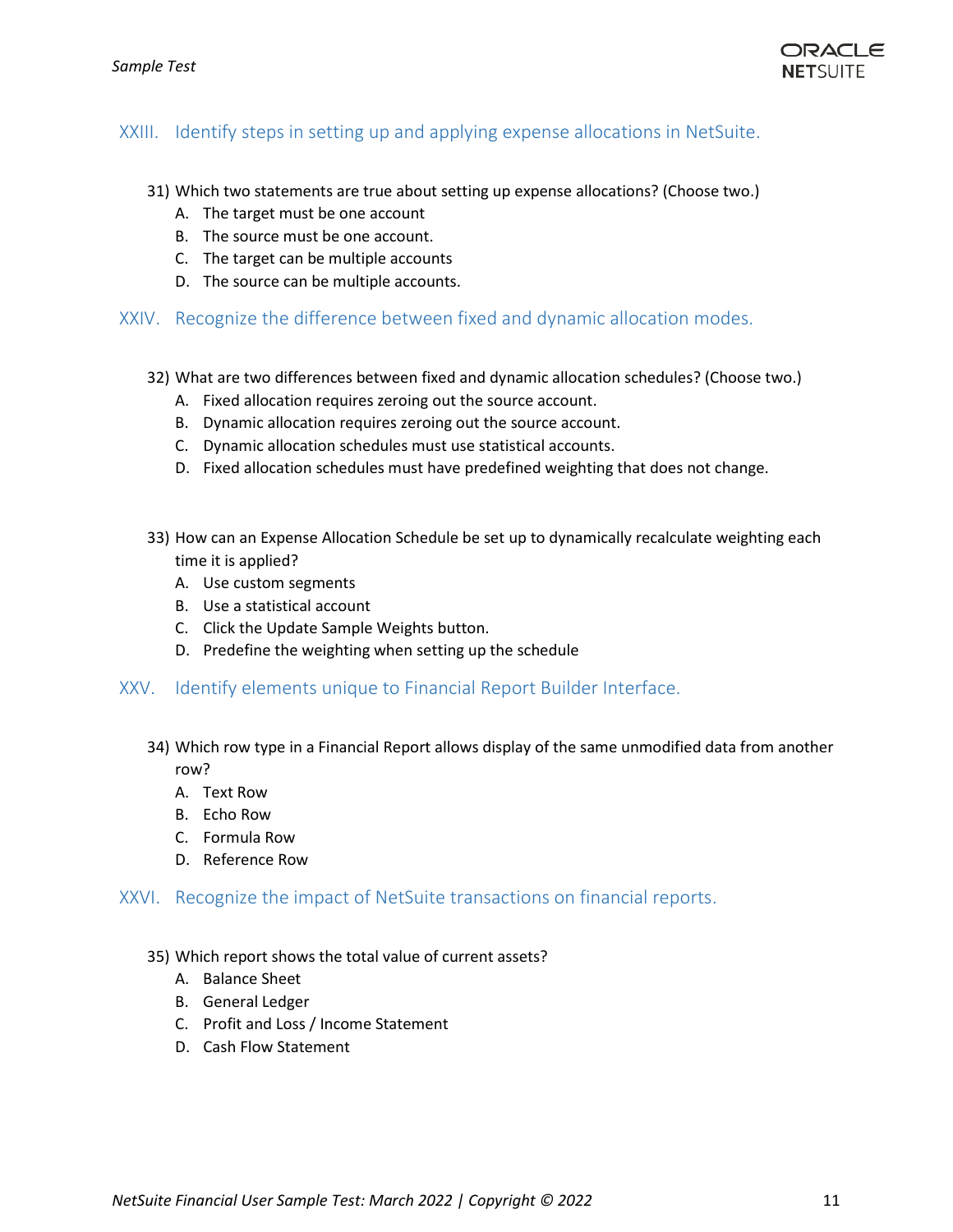

## <span id="page-10-0"></span>XXIII. Identify steps in setting up and applying expense allocations in NetSuite.

- 31) Which two statements are true about setting up expense allocations? (Choose two.)
	- A. The target must be one account
	- B. The source must be one account.
	- C. The target can be multiple accounts
	- D. The source can be multiple accounts.

#### <span id="page-10-1"></span>XXIV. Recognize the difference between fixed and dynamic allocation modes.

- 32) What are two differences between fixed and dynamic allocation schedules? (Choose two.)
	- A. Fixed allocation requires zeroing out the source account.
	- B. Dynamic allocation requires zeroing out the source account.
	- C. Dynamic allocation schedules must use statistical accounts.
	- D. Fixed allocation schedules must have predefined weighting that does not change.
- 33) How can an Expense Allocation Schedule be set up to dynamically recalculate weighting each time it is applied?
	- A. Use custom segments
	- B. Use a statistical account
	- C. Click the Update Sample Weights button.
	- D. Predefine the weighting when setting up the schedule
- <span id="page-10-2"></span>XXV. Identify elements unique to Financial Report Builder Interface.
	- 34) Which row type in a Financial Report allows display of the same unmodified data from another row?
		- A. Text Row
		- B. Echo Row
		- C. Formula Row
		- D. Reference Row

#### <span id="page-10-3"></span>XXVI. Recognize the impact of NetSuite transactions on financial reports.

#### 35) Which report shows the total value of current assets?

- A. Balance Sheet
- B. General Ledger
- C. Profit and Loss / Income Statement
- D. Cash Flow Statement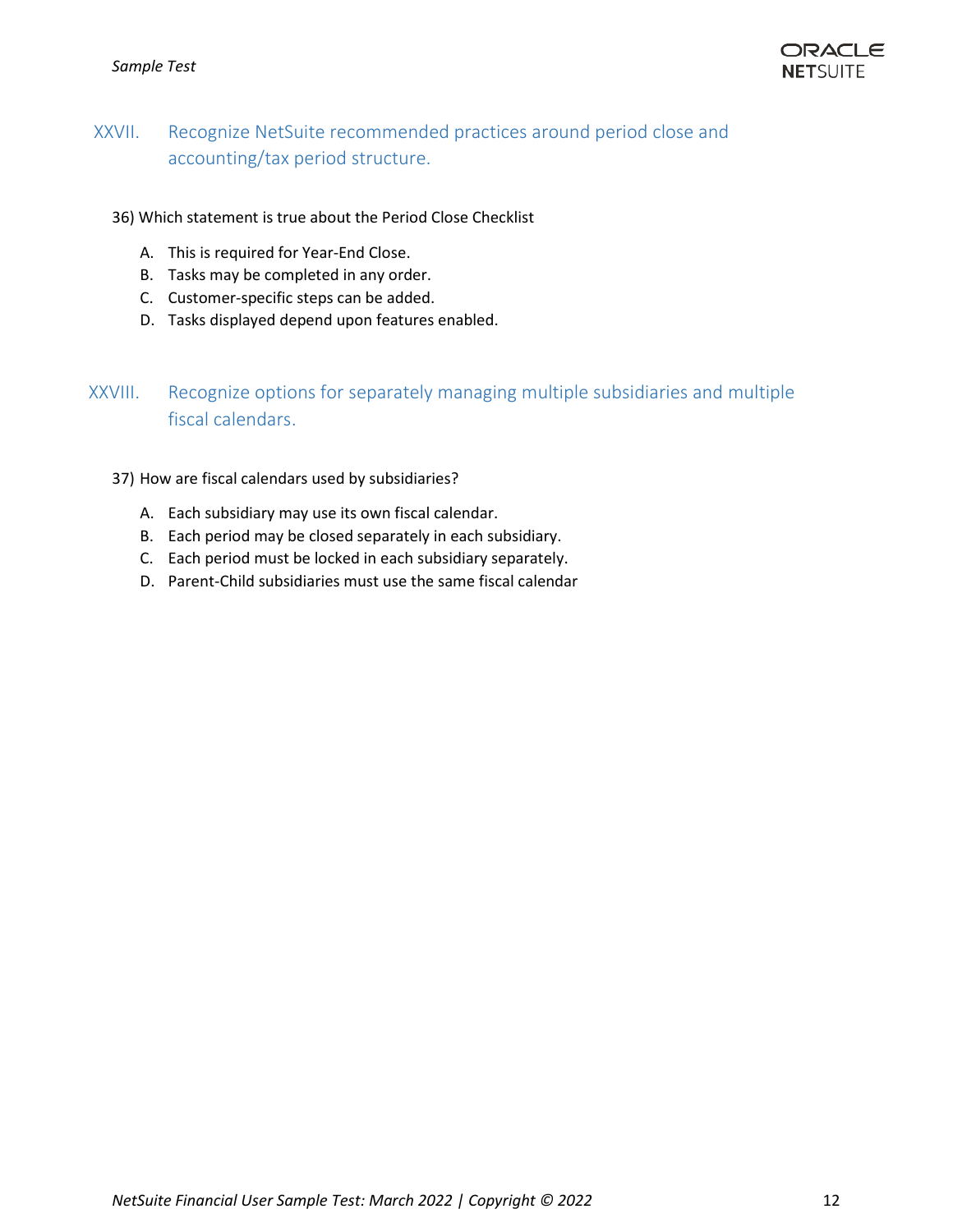#### *Sample Test*



# <span id="page-11-0"></span>XXVII. Recognize NetSuite recommended practices around period close and accounting/tax period structure.

36) Which statement is true about the Period Close Checklist

- A. This is required for Year-End Close.
- B. Tasks may be completed in any order.
- C. Customer-specific steps can be added.
- D. Tasks displayed depend upon features enabled.

# <span id="page-11-1"></span>XXVIII. Recognize options for separately managing multiple subsidiaries and multiple fiscal calendars.

37) How are fiscal calendars used by subsidiaries?

- A. Each subsidiary may use its own fiscal calendar.
- B. Each period may be closed separately in each subsidiary.
- C. Each period must be locked in each subsidiary separately.
- D. Parent-Child subsidiaries must use the same fiscal calendar